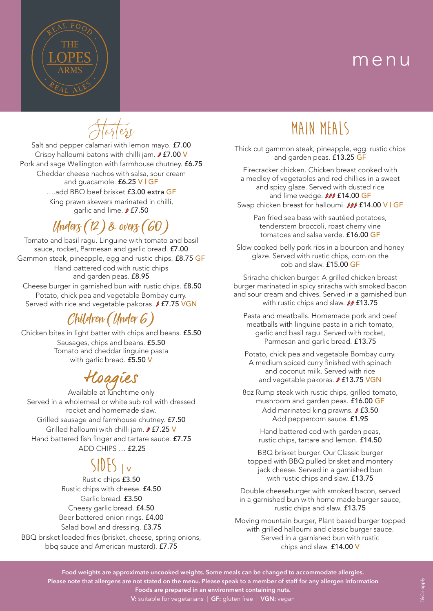## menu



 $\widetilde{\llbracket \mathfrak{a}_3/\mathfrak{e}_2}$ 

Salt and pepper calamari with lemon mayo. £7.00 Crispy halloumi batons with chilli jam.  $f$  £7.00 V Pork and sage Wellington with farmhouse chutney. £6.75 Cheddar cheese nachos with salsa, sour cream and guacamole. £6.25 V | GF ….add BBQ beef brisket £3.00 extra GF King prawn skewers marinated in chilli, garlic and lime. *f* £7.50

# Unders (12) & overs (60)

Tomato and basil ragu. Linguine with tomato and basil sauce, rocket, Parmesan and garlic bread. £7.00 Gammon steak, pineapple, egg and rustic chips. £8.75 GF Hand battered cod with rustic chips and garden peas. £8.95 Cheese burger in garnished bun with rustic chips. £8.50 Potato, chick pea and vegetable Bombay curry. Served with rice and vegetable pakoras.  $/2$  **£7.75 VGN** 

### Children (Under 6)

Chicken bites in light batter with chips and beans. £5.50 Sausages, chips and beans. £5.50 Tomato and cheddar linguine pasta with garlic bread. £5.50 V

## Hoagies

Available at lunchtime only Served in a wholemeal or white sub roll with dressed rocket and homemade slaw. Grilled sausage and farmhouse chutney. £7.50 Grilled halloumi with chilli jam. *f* **f7.25 V** Hand battered fish finger and tartare sauce. £7.75 ADD CHIPS … £2.25

## $SIDES_{|v}$

Rustic chips £3.50 Rustic chips with cheese. £4.50 Garlic bread. £3.50 Cheesy garlic bread. £4.50 Beer battered onion rings. £4.00 Salad bowl and dressing. £3.75

BBQ brisket loaded fries (brisket, cheese, spring onions, bbq sauce and American mustard). £7.75

## **Main Meals**

Thick cut gammon steak, pineapple, egg. rustic chips and garden peas. £13.25 GF

Firecracker chicken. Chicken breast cooked with a medley of vegetables and red chillies in a sweet and spicy glaze. Served with dusted rice and lime wedge. **III** £14.00 GF

Swap chicken breast for halloumi. **JIJ £14.00 V | GF** 

Pan fried sea bass with sautéed potatoes, tenderstem broccoli, roast cherry vine tomatoes and salsa verde. £16.00 GF

Slow cooked belly pork ribs in a bourbon and honey glaze. Served with rustic chips, corn on the cob and slaw. £15.00 GF

Sriracha chicken burger. A grilled chicken breast burger marinated in spicy sriracha with smoked bacon and sour cream and chives. Served in a garnished bun with rustic chips and slaw. *II* £13.75

Pasta and meatballs. Homemade pork and beef meatballs with linguine pasta in a rich tomato, garlic and basil ragu. Served with rocket, Parmesan and garlic bread. £13.75

Potato, chick pea and vegetable Bombay curry. A medium spiced curry finished with spinach and coconut milk. Served with rice and vegetable pakoras. **J £13.75 VGN** 

8oz Rump steak with rustic chips, grilled tomato, mushroom and garden peas. £16.00 GF Add marinated king prawns. **J £3.50** Add peppercorn sauce. £1.95

Hand battered cod with garden peas, rustic chips, tartare and lemon. £14.50

BBQ brisket burger. Our Classic burger topped with BBQ pulled brisket and montery jack cheese. Served in a garnished bun with rustic chips and slaw. £13.75

Double cheeseburger with smoked bacon, served in a garnished bun with home made burger sauce, rustic chips and slaw. £13.75

Moving mountain burger, Plant based burger topped with grilled halloumi and classic burger sauce. Served in a garnished bun with rustic chips and slaw. £14.00 V

**Food weights are approximate uncooked weights. Some meals can be changed to accommodate allergies. Please note that allergens are not stated on the menu. Please speak to a member of staff for any allergen information Foods are prepared in an environment containing nuts.**

**V:** suitable for vegetarians | **GF:** gluten free | **VGN:** vegan